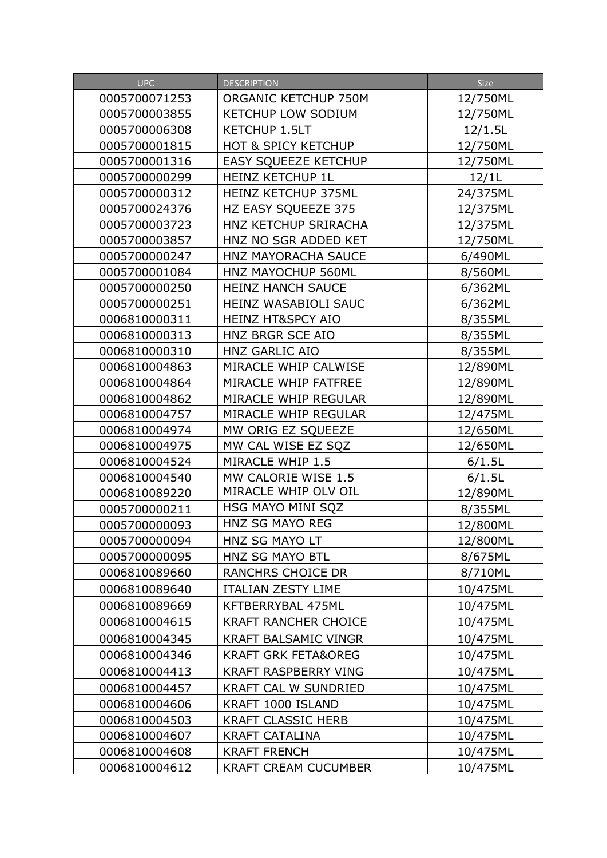| <b>UPC</b>    | <b>DESCRIPTION</b>             | Size     |
|---------------|--------------------------------|----------|
| 0005700071253 | ORGANIC KETCHUP 750M           | 12/750ML |
| 0005700003855 | <b>KETCHUP LOW SODIUM</b>      | 12/750ML |
| 0005700006308 | <b>KETCHUP 1.5LT</b>           | 12/1.5L  |
| 0005700001815 | <b>HOT &amp; SPICY KETCHUP</b> | 12/750ML |
| 0005700001316 | EASY SQUEEZE KETCHUP           | 12/750ML |
| 0005700000299 | HEINZ KETCHUP 1L               | 12/1L    |
| 0005700000312 | HEINZ KETCHUP 375ML            | 24/375ML |
| 0005700024376 | HZ EASY SQUEEZE 375            | 12/375ML |
| 0005700003723 | HNZ KETCHUP SRIRACHA           | 12/375ML |
| 0005700003857 | HNZ NO SGR ADDED KET           | 12/750ML |
| 0005700000247 | HNZ MAYORACHA SAUCE            | 6/490ML  |
| 0005700001084 | HNZ MAYOCHUP 560ML             | 8/560ML  |
| 0005700000250 | <b>HEINZ HANCH SAUCE</b>       | 6/362ML  |
| 0005700000251 | HEINZ WASABIOLI SAUC           | 6/362ML  |
| 0006810000311 | <b>HEINZ HT&amp;SPCY AIO</b>   | 8/355ML  |
| 0006810000313 | HNZ BRGR SCE AIO               | 8/355ML  |
| 0006810000310 | HNZ GARLIC AIO                 | 8/355ML  |
| 0006810004863 | MIRACLE WHIP CALWISE           | 12/890ML |
| 0006810004864 | MIRACLE WHIP FATFREE           | 12/890ML |
| 0006810004862 | MIRACLE WHIP REGULAR           | 12/890ML |
| 0006810004757 | MIRACLE WHIP REGULAR           | 12/475ML |
| 0006810004974 | MW ORIG EZ SQUEEZE             | 12/650ML |
| 0006810004975 | MW CAL WISE EZ SQZ             | 12/650ML |
| 0006810004524 | MIRACLE WHIP 1.5               | 6/1.5L   |
| 0006810004540 | MW CALORIE WISE 1.5            | 6/1.5L   |
| 0006810089220 | MIRACLE WHIP OLV OIL           | 12/890ML |
| 0005700000211 | HSG MAYO MINI SQZ              | 8/355ML  |
| 0005700000093 | HNZ SG MAYO REG                | 12/800ML |
| 0005700000094 | HNZ SG MAYO LT                 | 12/800ML |
| 0005700000095 | <b>HNZ SG MAYO BTL</b>         | 8/675ML  |
| 0006810089660 | <b>RANCHRS CHOICE DR</b>       | 8/710ML  |
| 0006810089640 | ITALIAN ZESTY LIME             | 10/475ML |
| 0006810089669 | KFTBERRYBAL 475ML              | 10/475ML |
| 0006810004615 | <b>KRAFT RANCHER CHOICE</b>    | 10/475ML |
| 0006810004345 | <b>KRAFT BALSAMIC VINGR</b>    | 10/475ML |
| 0006810004346 | <b>KRAFT GRK FETA&amp;OREG</b> | 10/475ML |
| 0006810004413 | <b>KRAFT RASPBERRY VING</b>    | 10/475ML |
| 0006810004457 | <b>KRAFT CAL W SUNDRIED</b>    | 10/475ML |
| 0006810004606 | KRAFT 1000 ISLAND              | 10/475ML |
| 0006810004503 | <b>KRAFT CLASSIC HERB</b>      | 10/475ML |
| 0006810004607 | <b>KRAFT CATALINA</b>          | 10/475ML |
| 0006810004608 | <b>KRAFT FRENCH</b>            | 10/475ML |
| 0006810004612 | <b>KRAFT CREAM CUCUMBER</b>    | 10/475ML |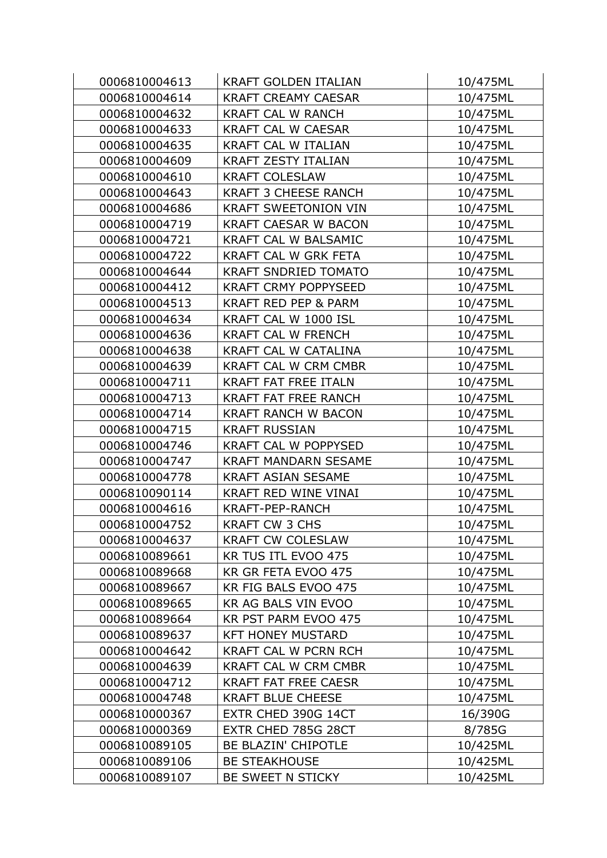| 0006810004613 | <b>KRAFT GOLDEN ITALIAN</b>     | 10/475ML |
|---------------|---------------------------------|----------|
| 0006810004614 | <b>KRAFT CREAMY CAESAR</b>      | 10/475ML |
| 0006810004632 | <b>KRAFT CAL W RANCH</b>        | 10/475ML |
| 0006810004633 | <b>KRAFT CAL W CAESAR</b>       | 10/475ML |
| 0006810004635 | KRAFT CAL W ITALIAN             | 10/475ML |
| 0006810004609 | <b>KRAFT ZESTY ITALIAN</b>      | 10/475ML |
| 0006810004610 | <b>KRAFT COLESLAW</b>           | 10/475ML |
| 0006810004643 | <b>KRAFT 3 CHEESE RANCH</b>     | 10/475ML |
| 0006810004686 | <b>KRAFT SWEETONION VIN</b>     | 10/475ML |
| 0006810004719 | <b>KRAFT CAESAR W BACON</b>     | 10/475ML |
| 0006810004721 | KRAFT CAL W BALSAMIC            | 10/475ML |
| 0006810004722 | <b>KRAFT CAL W GRK FETA</b>     | 10/475ML |
| 0006810004644 | <b>KRAFT SNDRIED TOMATO</b>     | 10/475ML |
| 0006810004412 | <b>KRAFT CRMY POPPYSEED</b>     | 10/475ML |
| 0006810004513 | <b>KRAFT RED PEP &amp; PARM</b> | 10/475ML |
| 0006810004634 | KRAFT CAL W 1000 ISL            | 10/475ML |
| 0006810004636 | <b>KRAFT CAL W FRENCH</b>       | 10/475ML |
| 0006810004638 | <b>KRAFT CAL W CATALINA</b>     | 10/475ML |
| 0006810004639 | <b>KRAFT CAL W CRM CMBR</b>     | 10/475ML |
| 0006810004711 | <b>KRAFT FAT FREE ITALN</b>     | 10/475ML |
| 0006810004713 | <b>KRAFT FAT FREE RANCH</b>     | 10/475ML |
| 0006810004714 | <b>KRAFT RANCH W BACON</b>      | 10/475ML |
| 0006810004715 | <b>KRAFT RUSSIAN</b>            | 10/475ML |
| 0006810004746 | <b>KRAFT CAL W POPPYSED</b>     | 10/475ML |
| 0006810004747 | <b>KRAFT MANDARN SESAME</b>     | 10/475ML |
| 0006810004778 | <b>KRAFT ASIAN SESAME</b>       | 10/475ML |
| 0006810090114 | KRAFT RED WINE VINAI            | 10/475ML |
| 0006810004616 | KRAFT-PEP-RANCH                 | 10/475ML |
| 0006810004752 | <b>KRAFT CW 3 CHS</b>           | 10/475ML |
| 0006810004637 | <b>KRAFT CW COLESLAW</b>        | 10/475ML |
| 0006810089661 | KR TUS ITL EVOO 475             | 10/475ML |
| 0006810089668 | KR GR FETA EVOO 475             | 10/475ML |
| 0006810089667 | KR FIG BALS EVOO 475            | 10/475ML |
| 0006810089665 | KR AG BALS VIN EVOO             | 10/475ML |
| 0006810089664 | KR PST PARM EVOO 475            | 10/475ML |
| 0006810089637 | <b>KFT HONEY MUSTARD</b>        | 10/475ML |
| 0006810004642 | <b>KRAFT CAL W PCRN RCH</b>     | 10/475ML |
| 0006810004639 | <b>KRAFT CAL W CRM CMBR</b>     | 10/475ML |
| 0006810004712 | <b>KRAFT FAT FREE CAESR</b>     | 10/475ML |
| 0006810004748 | <b>KRAFT BLUE CHEESE</b>        | 10/475ML |
| 0006810000367 | EXTR CHED 390G 14CT             | 16/390G  |
| 0006810000369 | EXTR CHED 785G 28CT             | 8/785G   |
| 0006810089105 | BE BLAZIN' CHIPOTLE             | 10/425ML |
| 0006810089106 | <b>BE STEAKHOUSE</b>            | 10/425ML |
| 0006810089107 | BE SWEET N STICKY               | 10/425ML |